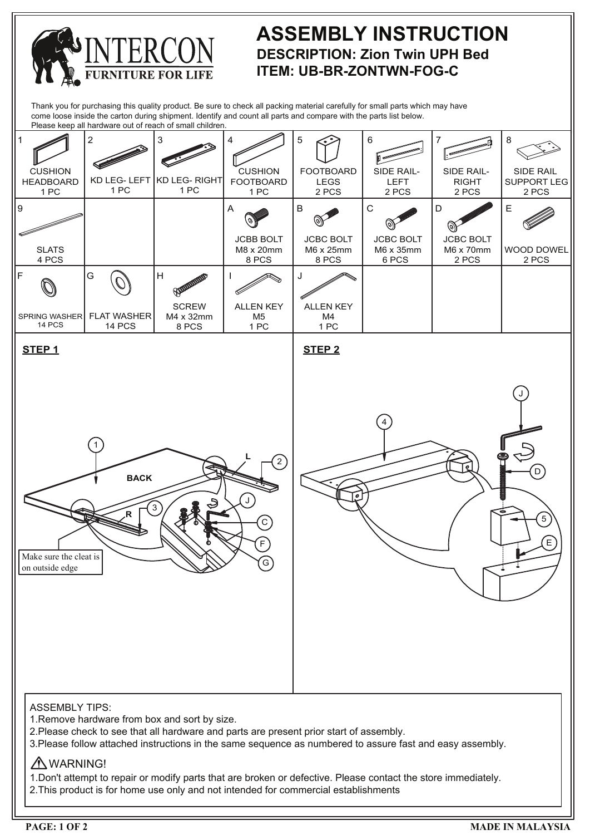